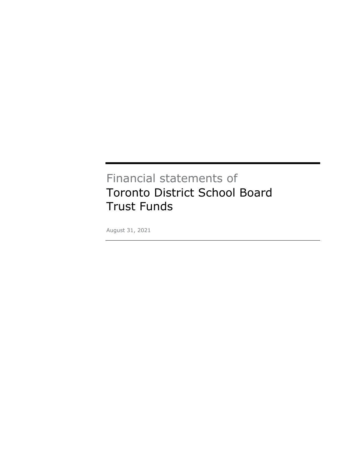# Financial statements of Toronto District School Board Trust Funds

August 31, 2021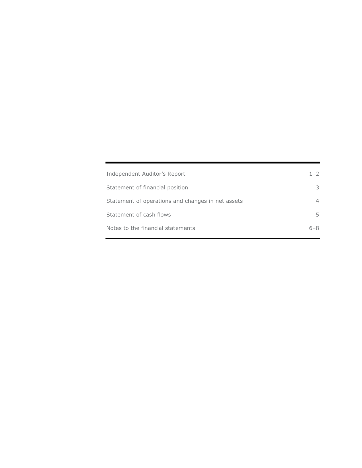| Independent Auditor's Report                      | $1 - 2$        |
|---------------------------------------------------|----------------|
| Statement of financial position                   | 3              |
| Statement of operations and changes in net assets | $\overline{4}$ |
| Statement of cash flows                           | 5.             |
| Notes to the financial statements                 | $6 - 8$        |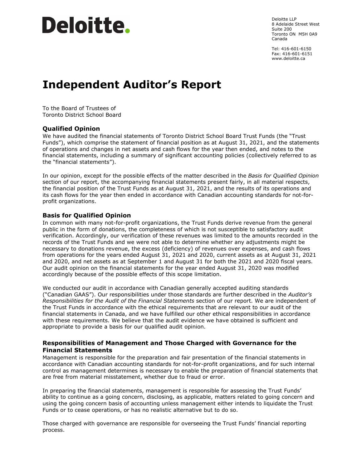# Deloitte.

Deloitte LLP 8 Adelaide Street West Suite 200 Toronto ON M5H 0A9 Canada

Tel: 416-601-6150 Fax: 416-601-6151 www.deloitte.ca

# **Independent Auditor's Report**

To the Board of Trustees of Toronto District School Board

# **Qualified Opinion**

We have audited the financial statements of Toronto District School Board Trust Funds (the "Trust Funds"), which comprise the statement of financial position as at August 31, 2021, and the statements of operations and changes in net assets and cash flows for the year then ended, and notes to the financial statements, including a summary of significant accounting policies (collectively referred to as the "financial statements").

In our opinion, except for the possible effects of the matter described in the *Basis for Qualified Opinion* section of our report, the accompanying financial statements present fairly, in all material respects, the financial position of the Trust Funds as at August 31, 2021, and the results of its operations and its cash flows for the year then ended in accordance with Canadian accounting standards for not-forprofit organizations.

# **Basis for Qualified Opinion**

In common with many not-for-profit organizations, the Trust Funds derive revenue from the general public in the form of donations, the completeness of which is not susceptible to satisfactory audit verification. Accordingly, our verification of these revenues was limited to the amounts recorded in the records of the Trust Funds and we were not able to determine whether any adjustments might be necessary to donations revenue, the excess (deficiency) of revenues over expenses, and cash flows from operations for the years ended August 31, 2021 and 2020, current assets as at August 31, 2021 and 2020, and net assets as at September 1 and August 31 for both the 2021 and 2020 fiscal years. Our audit opinion on the financial statements for the year ended August 31, 2020 was modified accordingly because of the possible effects of this scope limitation.

We conducted our audit in accordance with Canadian generally accepted auditing standards ("Canadian GAAS"). Our responsibilities under those standards are further described in the *Auditor's Responsibilities for the Audit of the Financial Statements* section of our report. We are independent of the Trust Funds in accordance with the ethical requirements that are relevant to our audit of the financial statements in Canada, and we have fulfilled our other ethical responsibilities in accordance with these requirements. We believe that the audit evidence we have obtained is sufficient and appropriate to provide a basis for our qualified audit opinion.

# **Responsibilities of Management and Those Charged with Governance for the Financial Statements**

Management is responsible for the preparation and fair presentation of the financial statements in accordance with Canadian accounting standards for not-for-profit organizations, and for such internal control as management determines is necessary to enable the preparation of financial statements that are free from material misstatement, whether due to fraud or error.

In preparing the financial statements, management is responsible for assessing the Trust Funds' ability to continue as a going concern, disclosing, as applicable, matters related to going concern and using the going concern basis of accounting unless management either intends to liquidate the Trust Funds or to cease operations, or has no realistic alternative but to do so.

Those charged with governance are responsible for overseeing the Trust Funds' financial reporting process.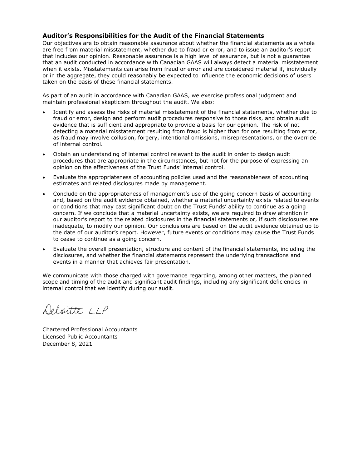# **Auditor's Responsibilities for the Audit of the Financial Statements**

Our objectives are to obtain reasonable assurance about whether the financial statements as a whole are free from material misstatement, whether due to fraud or error, and to issue an auditor's report that includes our opinion. Reasonable assurance is a high level of assurance, but is not a guarantee that an audit conducted in accordance with Canadian GAAS will always detect a material misstatement when it exists. Misstatements can arise from fraud or error and are considered material if, individually or in the aggregate, they could reasonably be expected to influence the economic decisions of users taken on the basis of these financial statements.

As part of an audit in accordance with Canadian GAAS, we exercise professional judgment and maintain professional skepticism throughout the audit. We also:

- Identify and assess the risks of material misstatement of the financial statements, whether due to fraud or error, design and perform audit procedures responsive to those risks, and obtain audit evidence that is sufficient and appropriate to provide a basis for our opinion. The risk of not detecting a material misstatement resulting from fraud is higher than for one resulting from error, as fraud may involve collusion, forgery, intentional omissions, misrepresentations, or the override of internal control.
- Obtain an understanding of internal control relevant to the audit in order to design audit procedures that are appropriate in the circumstances, but not for the purpose of expressing an opinion on the effectiveness of the Trust Funds' internal control.
- Evaluate the appropriateness of accounting policies used and the reasonableness of accounting estimates and related disclosures made by management.
- Conclude on the appropriateness of management's use of the going concern basis of accounting and, based on the audit evidence obtained, whether a material uncertainty exists related to events or conditions that may cast significant doubt on the Trust Funds' ability to continue as a going concern. If we conclude that a material uncertainty exists, we are required to draw attention in our auditor's report to the related disclosures in the financial statements or, if such disclosures are inadequate, to modify our opinion. Our conclusions are based on the audit evidence obtained up to the date of our auditor's report. However, future events or conditions may cause the Trust Funds to cease to continue as a going concern.
- Evaluate the overall presentation, structure and content of the financial statements, including the disclosures, and whether the financial statements represent the underlying transactions and events in a manner that achieves fair presentation.

We communicate with those charged with governance regarding, among other matters, the planned scope and timing of the audit and significant audit findings, including any significant deficiencies in internal control that we identify during our audit.

Deloitte LLP

Chartered Professional Accountants Licensed Public Accountants December 8, 2021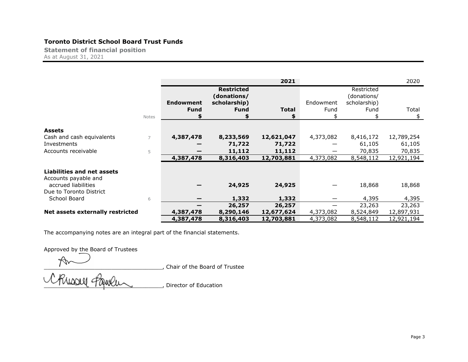# **Toronto District School Board Trust Funds**

**Statement of financial position** As at August 31, 2021

|                                   |       |                                 |                                                                 | 2021         |                   |                                                   | 2020        |
|-----------------------------------|-------|---------------------------------|-----------------------------------------------------------------|--------------|-------------------|---------------------------------------------------|-------------|
|                                   | Notes | <b>Endowment</b><br><b>Fund</b> | <b>Restricted</b><br>(donations/<br>scholarship)<br><b>Fund</b> | <b>Total</b> | Endowment<br>Fund | Restricted<br>(donations/<br>scholarship)<br>Fund | Total<br>\$ |
|                                   |       |                                 |                                                                 |              |                   |                                                   |             |
| <b>Assets</b>                     |       |                                 |                                                                 |              |                   |                                                   |             |
| Cash and cash equivalents         |       | 4,387,478                       | 8,233,569                                                       | 12,621,047   | 4,373,082         | 8,416,172                                         | 12,789,254  |
| Investments                       |       |                                 | 71,722                                                          | 71,722       |                   | 61,105                                            | 61,105      |
| Accounts receivable               | 5     |                                 | 11,112                                                          | 11,112       |                   | 70,835                                            | 70,835      |
|                                   |       | 4,387,478                       | 8,316,403                                                       | 12,703,881   | 4,373,082         | 8,548,112                                         | 12,921,194  |
|                                   |       |                                 |                                                                 |              |                   |                                                   |             |
| <b>Liabilities and net assets</b> |       |                                 |                                                                 |              |                   |                                                   |             |
| Accounts payable and              |       |                                 |                                                                 |              |                   |                                                   |             |
| accrued liabilities               |       |                                 | 24,925                                                          | 24,925       |                   | 18,868                                            | 18,868      |
| Due to Toronto District           |       |                                 |                                                                 |              |                   |                                                   |             |
| School Board                      | 6     |                                 | 1,332                                                           | 1,332        |                   | 4,395                                             | 4,395       |
|                                   |       |                                 | 26,257                                                          | 26,257       |                   | 23,263                                            | 23,263      |
| Net assets externally restricted  |       | 4,387,478                       | 8,290,146                                                       | 12,677,624   | 4,373,082         | 8,524,849                                         | 12,897,931  |
|                                   |       | 4,387,478                       | 8,316,403                                                       | 12,703,881   | 4,373,082         | 8,548,112                                         | 12,921,194  |

The accompanying notes are an integral part of the financial statements.

Approved by the Board of Trustees

\_\_\_\_\_\_\_\_\_\_\_\_\_\_\_\_\_\_\_\_\_\_\_\_\_\_\_\_\_\_\_\_\_\_\_, Chair of the Board of Trustee

**Example 2 is a series of Education** (Director of Education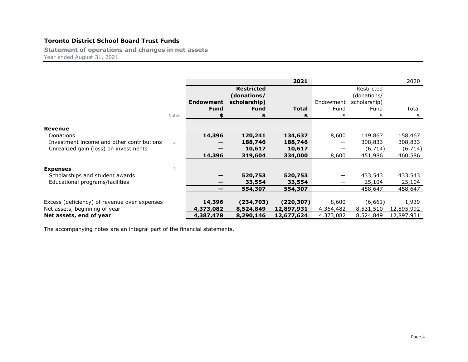# **Toronto District School Board Trust Funds**

**Statement of operations and changes in net assets** Year ended August 31, 2021

|                                              |                |                  |                   | 2021         |           |              | 2020       |
|----------------------------------------------|----------------|------------------|-------------------|--------------|-----------|--------------|------------|
|                                              |                |                  | <b>Restricted</b> |              |           | Restricted   |            |
|                                              |                |                  | (donations/       |              |           | (donations/  |            |
|                                              |                | <b>Endowment</b> | scholarship)      |              | Endowment | scholarship) |            |
|                                              |                | <b>Fund</b>      | <b>Fund</b>       | <b>Total</b> | Fund      | Fund         | Total      |
|                                              | Notes          |                  |                   | \$           |           | \$           | \$         |
|                                              |                |                  |                   |              |           |              |            |
| Revenue                                      |                |                  |                   |              |           |              |            |
| <b>Donations</b>                             |                | 14,396           | 120,241           | 134,637      | 8,600     | 149,867      | 158,467    |
| Investment income and other contributions    | $\overline{2}$ |                  | 188,746           | 188,746      |           | 308,833      | 308,833    |
| Unrealized gain (loss) on investments        |                |                  | 10,617            | 10,617       |           | (6,714)      | (6, 714)   |
|                                              |                | 14,396           | 319,604           | 334,000      | 8,600     | 451,986      | 460,586    |
|                                              |                |                  |                   |              |           |              |            |
| <b>Expenses</b>                              | 3              |                  |                   |              |           |              |            |
| Scholarships and student awards              |                |                  | 520,753           | 520,753      |           | 433,543      | 433,543    |
| Educational programs/facilities              |                |                  | 33,554            | 33,554       |           | 25,104       | 25,104     |
|                                              |                | —                | 554,307           | 554,307      |           | 458,647      | 458,647    |
|                                              |                |                  |                   |              |           |              |            |
| Excess (deficiency) of revenue over expenses |                | 14,396           | (234,703)         | (220, 307)   | 8,600     | (6,661)      | 1,939      |
| Net assets, beginning of year                |                | 4,373,082        | 8,524,849         | 12,897,931   | 4,364,482 | 8,531,510    | 12,895,992 |
| Net assets, end of year                      |                | 4,387,478        | 8,290,146         | 12,677,624   | 4,373,082 | 8,524,849    | 12,897,931 |

The accompanying notes are an integral part of the financial statements.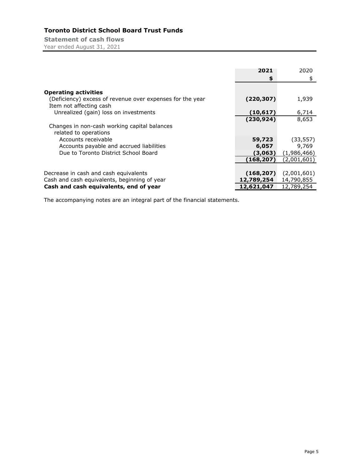# **Toronto District School Board Trust Funds**

**Statement of cash flows** Year ended August 31, 2021

|                                                           | 2021       | 2020        |
|-----------------------------------------------------------|------------|-------------|
|                                                           | \$         | \$          |
|                                                           |            |             |
| <b>Operating activities</b>                               |            |             |
| (Deficiency) excess of revenue over expenses for the year | (220, 307) | 1,939       |
| Item not affecting cash                                   |            |             |
| Unrealized (gain) loss on investments                     | (10, 617)  | 6,714       |
|                                                           | (230, 924) | 8,653       |
| Changes in non-cash working capital balances              |            |             |
| related to operations                                     |            |             |
| Accounts receivable                                       | 59,723     | (33, 557)   |
| Accounts payable and accrued liabilities                  | 6,057      | 9,769       |
| Due to Toronto District School Board                      | (3,063)    | (1,986,466) |
|                                                           | (168, 207) | (2,001,601) |
|                                                           |            |             |
| Decrease in cash and cash equivalents                     | (168, 207) | (2,001,601) |
| Cash and cash equivalents, beginning of year              | 12,789,254 | 14,790,855  |
| Cash and cash equivalents, end of year                    | 12,621,047 | 12,789,254  |

The accompanying notes are an integral part of the financial statements.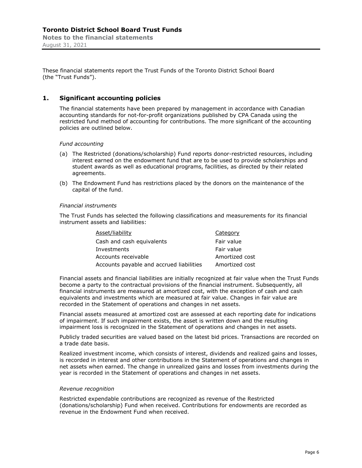These financial statements report the Trust Funds of the Toronto District School Board (the "Trust Funds").

# **1. Significant accounting policies**

The financial statements have been prepared by management in accordance with Canadian accounting standards for not-for-profit organizations published by CPA Canada using the restricted fund method of accounting for contributions. The more significant of the accounting policies are outlined below.

*Fund accounting* 

- (a) The Restricted (donations/scholarship) Fund reports donor-restricted resources, including interest earned on the endowment fund that are to be used to provide scholarships and student awards as well as educational programs, facilities, as directed by their related agreements.
- (b) The Endowment Fund has restrictions placed by the donors on the maintenance of the capital of the fund.

#### *Financial instruments*

The Trust Funds has selected the following classifications and measurements for its financial instrument assets and liabilities:

| Asset/liability                          | Category       |
|------------------------------------------|----------------|
| Cash and cash equivalents                | Fair value     |
| Investments                              | Fair value     |
| Accounts receivable                      | Amortized cost |
| Accounts payable and accrued liabilities | Amortized cost |

Financial assets and financial liabilities are initially recognized at fair value when the Trust Funds become a party to the contractual provisions of the financial instrument. Subsequently, all financial instruments are measured at amortized cost, with the exception of cash and cash equivalents and investments which are measured at fair value. Changes in fair value are recorded in the Statement of operations and changes in net assets.

Financial assets measured at amortized cost are assessed at each reporting date for indications of impairment. If such impairment exists, the asset is written down and the resulting impairment loss is recognized in the Statement of operations and changes in net assets.

Publicly traded securities are valued based on the latest bid prices. Transactions are recorded on a trade date basis.

Realized investment income, which consists of interest, dividends and realized gains and losses, is recorded in interest and other contributions in the Statement of operations and changes in net assets when earned. The change in unrealized gains and losses from investments during the year is recorded in the Statement of operations and changes in net assets.

#### *Revenue recognition*

Restricted expendable contributions are recognized as revenue of the Restricted (donations/scholarship) Fund when received. Contributions for endowments are recorded as revenue in the Endowment Fund when received.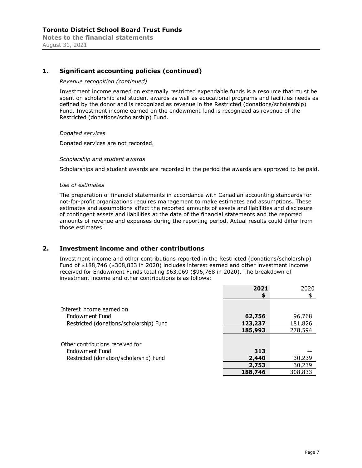# **1. Significant accounting policies (continued)**

#### *Revenue recognition (continued)*

Investment income earned on externally restricted expendable funds is a resource that must be spent on scholarship and student awards as well as educational programs and facilities needs as defined by the donor and is recognized as revenue in the Restricted (donations/scholarship) Fund. Investment income earned on the endowment fund is recognized as revenue of the Restricted (donations/scholarship) Fund.

#### *Donated services*

Donated services are not recorded.

#### *Scholarship and student awards*

Scholarships and student awards are recorded in the period the awards are approved to be paid.

#### *Use of estimates*

The preparation of financial statements in accordance with Canadian accounting standards for not-for-profit organizations requires management to make estimates and assumptions. These estimates and assumptions affect the reported amounts of assets and liabilities and disclosure of contingent assets and liabilities at the date of the financial statements and the reported amounts of revenue and expenses during the reporting period. Actual results could differ from those estimates.

#### **2. Investment income and other contributions**

Investment income and other contributions reported in the Restricted (donations/scholarship) Fund of \$188,746 (\$308,833 in 2020) includes interest earned and other investment income received for Endowment Funds totaling \$63,069 (\$96,768 in 2020). The breakdown of investment income and other contributions is as follows:

|                                         | 2021    | 2020    |
|-----------------------------------------|---------|---------|
|                                         | S       |         |
| Interest income earned on               |         |         |
| Endowment Fund                          | 62,756  | 96,768  |
| Restricted (donations/scholarship) Fund | 123,237 | 181,826 |
|                                         | 185,993 | 278,594 |
|                                         |         |         |
| Other contributions received for        |         |         |
| Endowment Fund                          | 313     |         |
| Restricted (donation/scholarship) Fund  | 2,440   | 30,239  |
|                                         | 2,753   | 30,239  |
|                                         | 188,746 | 308,833 |